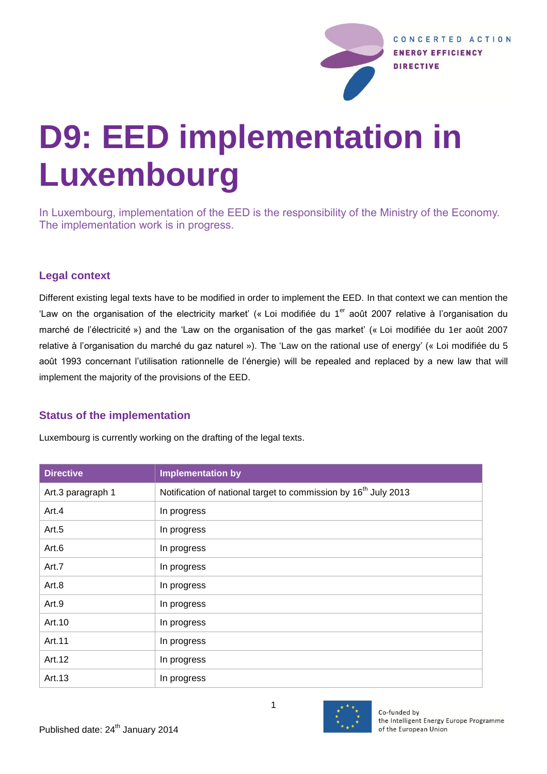

# **D9: EED implementation in Luxembourg**

In Luxembourg, implementation of the EED is the responsibility of the Ministry of the Economy. The implementation work is in progress.

## **Legal context**

Different existing legal texts have to be modified in order to implement the EED. In that context we can mention the 'Law on the organisation of the electricity market' (« Loi modifiée du 1<sup>er</sup> août 2007 relative à l'organisation du marché de l'électricité ») and the 'Law on the organisation of the gas market' (« Loi modifiée du 1er août 2007 relative à l'organisation du marché du gaz naturel »). The 'Law on the rational use of energy' (« Loi modifiée du 5 août 1993 concernant l'utilisation rationnelle de l'énergie) will be repealed and replaced by a new law that will implement the majority of the provisions of the EED.

## **Status of the implementation**

Luxembourg is currently working on the drafting of the legal texts.

| <b>Directive</b>  | <b>Implementation by</b>                                                    |
|-------------------|-----------------------------------------------------------------------------|
| Art.3 paragraph 1 | Notification of national target to commission by 16 <sup>th</sup> July 2013 |
| Art.4             | In progress                                                                 |
| Art.5             | In progress                                                                 |
| Art.6             | In progress                                                                 |
| Art.7             | In progress                                                                 |
| Art.8             | In progress                                                                 |
| Art.9             | In progress                                                                 |
| Art.10            | In progress                                                                 |
| Art.11            | In progress                                                                 |
| Art.12            | In progress                                                                 |
| Art.13            | In progress                                                                 |